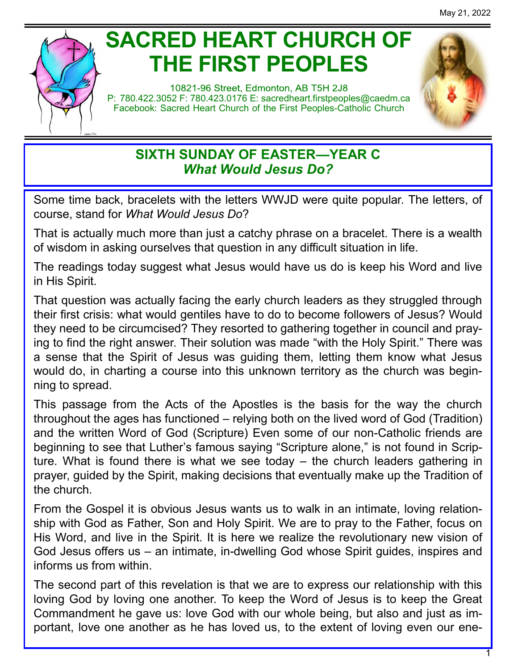# **SACRED HEART CHURCH OF THE FIRST PEOPLES**

10821-96 Street, Edmonton, AB T5H 2J8 P: 780.422.3052 F: 780.423.0176 E: [sacredheart.](mailto:sacredheart.firstpeoples@caedm.ca)firstpeoples@caedm.ca Facebook: Sacred Heart Church of the First Peoples-Catholic Church



## **SIXTH SUNDAY OF EASTER—YEAR C** *What Would Jesus Do?*

Some time back, bracelets with the letters WWJD were quite popular. The letters, of course, stand for *What Would Jesus Do*?

That is actually much more than just a catchy phrase on a bracelet. There is a wealth of wisdom in asking ourselves that question in any difficult situation in life.

The readings today suggest what Jesus would have us do is keep his Word and live in His Spirit.

That question was actually facing the early church leaders as they struggled through their first crisis: what would gentiles have to do to become followers of Jesus? Would they need to be circumcised? They resorted to gathering together in council and praying to find the right answer. Their solution was made "with the Holy Spirit." There was a sense that the Spirit of Jesus was guiding them, letting them know what Jesus would do, in charting a course into this unknown territory as the church was beginning to spread.

This passage from the Acts of the Apostles is the basis for the way the church throughout the ages has functioned – relying both on the lived word of God (Tradition) and the written Word of God (Scripture) Even some of our non-Catholic friends are beginning to see that Luther's famous saying "Scripture alone," is not found in Scripture. What is found there is what we see today – the church leaders gathering in prayer, guided by the Spirit, making decisions that eventually make up the Tradition of the church.

From the Gospel it is obvious Jesus wants us to walk in an intimate, loving relationship with God as Father, Son and Holy Spirit. We are to pray to the Father, focus on His Word, and live in the Spirit. It is here we realize the revolutionary new vision of God Jesus offers us – an intimate, in-dwelling God whose Spirit guides, inspires and informs us from within.

The second part of this revelation is that we are to express our relationship with this loving God by loving one another. To keep the Word of Jesus is to keep the Great Commandment he gave us: love God with our whole being, but also and just as important, love one another as he has loved us, to the extent of loving even our ene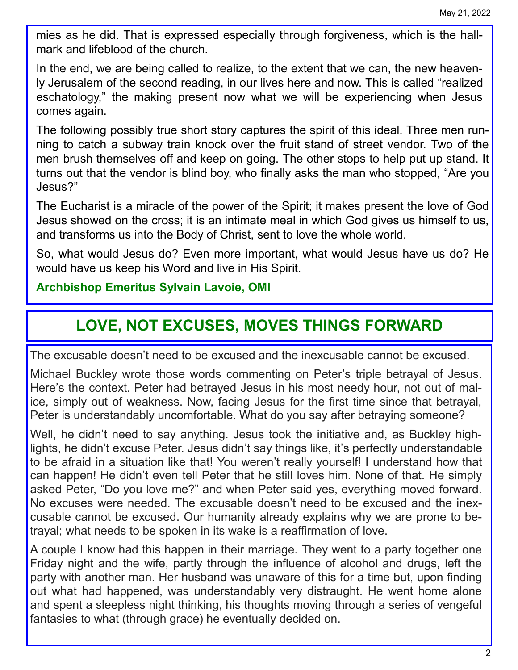mies as he did. That is expressed especially through forgiveness, which is the hallmark and lifeblood of the church.

In the end, we are being called to realize, to the extent that we can, the new heavenly Jerusalem of the second reading, in our lives here and now. This is called "realized eschatology," the making present now what we will be experiencing when Jesus comes again.

The following possibly true short story captures the spirit of this ideal. Three men running to catch a subway train knock over the fruit stand of street vendor. Two of the men brush themselves off and keep on going. The other stops to help put up stand. It turns out that the vendor is blind boy, who finally asks the man who stopped, "Are you Jesus?"

The Eucharist is a miracle of the power of the Spirit; it makes present the love of God Jesus showed on the cross; it is an intimate meal in which God gives us himself to us, and transforms us into the Body of Christ, sent to love the whole world.

So, what would Jesus do? Even more important, what would Jesus have us do? He would have us keep his Word and live in His Spirit.

#### **Archbishop Emeritus Sylvain Lavoie, OMI**

## **LOVE, NOT EXCUSES, MOVES THINGS FORWARD**

The excusable doesn't need to be excused and the inexcusable cannot be excused.

Michael Buckley wrote those words commenting on Peter's triple betrayal of Jesus. Here's the context. Peter had betrayed Jesus in his most needy hour, not out of malice, simply out of weakness. Now, facing Jesus for the first time since that betrayal, Peter is understandably uncomfortable. What do you say after betraying someone?

Well, he didn't need to say anything. Jesus took the initiative and, as Buckley highlights, he didn't excuse Peter. Jesus didn't say things like, it's perfectly understandable to be afraid in a situation like that! You weren't really yourself! I understand how that can happen! He didn't even tell Peter that he still loves him. None of that. He simply asked Peter, "Do you love me?" and when Peter said yes, everything moved forward. No excuses were needed. The excusable doesn't need to be excused and the inexcusable cannot be excused. Our humanity already explains why we are prone to betrayal; what needs to be spoken in its wake is a reaffirmation of love.

A couple I know had this happen in their marriage. They went to a party together one Friday night and the wife, partly through the influence of alcohol and drugs, left the party with another man. Her husband was unaware of this for a time but, upon finding out what had happened, was understandably very distraught. He went home alone and spent a sleepless night thinking, his thoughts moving through a series of vengeful fantasies to what (through grace) he eventually decided on.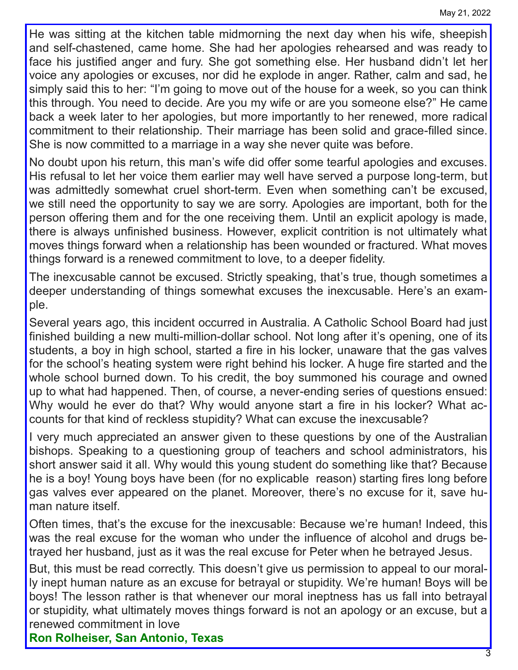He was sitting at the kitchen table midmorning the next day when his wife, sheepish and self-chastened, came home. She had her apologies rehearsed and was ready to face his justified anger and fury. She got something else. Her husband didn't let her voice any apologies or excuses, nor did he explode in anger. Rather, calm and sad, he simply said this to her: "I'm going to move out of the house for a week, so you can think this through. You need to decide. Are you my wife or are you someone else?" He came back a week later to her apologies, but more importantly to her renewed, more radical commitment to their relationship. Their marriage has been solid and grace-filled since. She is now committed to a marriage in a way she never quite was before.

No doubt upon his return, this man's wife did offer some tearful apologies and excuses. His refusal to let her voice them earlier may well have served a purpose long-term, but was admittedly somewhat cruel short-term. Even when something can't be excused, we still need the opportunity to say we are sorry. Apologies are important, both for the person offering them and for the one receiving them. Until an explicit apology is made, there is always unfinished business. However, explicit contrition is not ultimately what moves things forward when a relationship has been wounded or fractured. What moves things forward is a renewed commitment to love, to a deeper fidelity.

The inexcusable cannot be excused. Strictly speaking, that's true, though sometimes a deeper understanding of things somewhat excuses the inexcusable. Here's an example.

Several years ago, this incident occurred in Australia. A Catholic School Board had just finished building a new multi-million-dollar school. Not long after it's opening, one of its students, a boy in high school, started a fire in his locker, unaware that the gas valves for the school's heating system were right behind his locker. A huge fire started and the whole school burned down. To his credit, the boy summoned his courage and owned up to what had happened. Then, of course, a never-ending series of questions ensued: Why would he ever do that? Why would anyone start a fire in his locker? What accounts for that kind of reckless stupidity? What can excuse the inexcusable?

I very much appreciated an answer given to these questions by one of the Australian bishops. Speaking to a questioning group of teachers and school administrators, his short answer said it all. Why would this young student do something like that? Because he is a boy! Young boys have been (for no explicable reason) starting fires long before gas valves ever appeared on the planet. Moreover, there's no excuse for it, save human nature itself.

Often times, that's the excuse for the inexcusable: Because we're human! Indeed, this was the real excuse for the woman who under the influence of alcohol and drugs betrayed her husband, just as it was the real excuse for Peter when he betrayed Jesus.

But, this must be read correctly. This doesn't give us permission to appeal to our morally inept human nature as an excuse for betrayal or stupidity. We're human! Boys will be boys! The lesson rather is that whenever our moral ineptness has us fall into betrayal or stupidity, what ultimately moves things forward is not an apology or an excuse, but a renewed commitment in love

**Ron Rolheiser, San Antonio, Texas**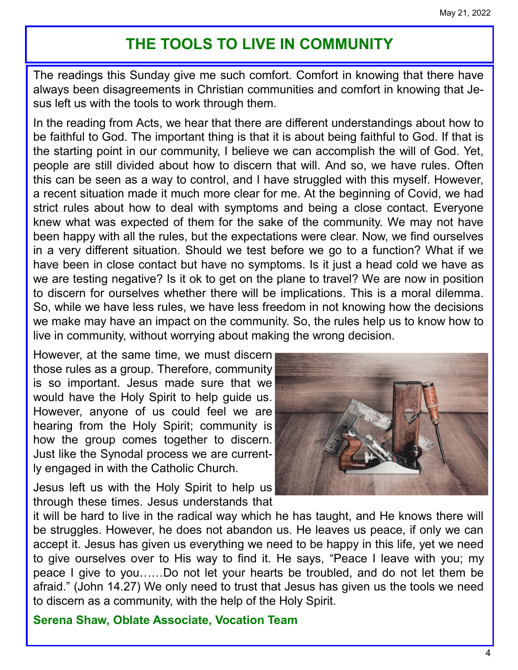## **THE TOOLS TO LIVE IN COMMUNITY**

The readings this Sunday give me such comfort. Comfort in knowing that there have always been disagreements in Christian communities and comfort in knowing that Jesus left us with the tools to work through them.

In the reading from Acts, we hear that there are different understandings about how to be faithful to God. The important thing is that it is about being faithful to God. If that is the starting point in our community, I believe we can accomplish the will of God. Yet, people are still divided about how to discern that will. And so, we have rules. Often this can be seen as a way to control, and I have struggled with this myself. However, a recent situation made it much more clear for me. At the beginning of Covid, we had strict rules about how to deal with symptoms and being a close contact. Everyone knew what was expected of them for the sake of the community. We may not have been happy with all the rules, but the expectations were clear. Now, we find ourselves in a very different situation. Should we test before we go to a function? What if we have been in close contact but have no symptoms. Is it just a head cold we have as we are testing negative? Is it ok to get on the plane to travel? We are now in position to discern for ourselves whether there will be implications. This is a moral dilemma. So, while we have less rules, we have less freedom in not knowing how the decisions we make may have an impact on the community. So, the rules help us to know how to live in community, without worrying about making the wrong decision.

However, at the same time, we must discern those rules as a group. Therefore, community is so important. Jesus made sure that we would have the Holy Spirit to help guide us. However, anyone of us could feel we are hearing from the Holy Spirit; community is how the group comes together to discern. Just like the Synodal process we are currently engaged in with the Catholic Church.

Jesus left us with the Holy Spirit to help us through these times. Jesus understands that



it will be hard to live in the radical way which he has taught, and He knows there will be struggles. However, he does not abandon us. He leaves us peace, if only we can accept it. Jesus has given us everything we need to be happy in this life, yet we need to give ourselves over to His way to find it. He says, "Peace I leave with you; my peace I give to you……Do not let your hearts be troubled, and do not let them be afraid." (John 14.27) We only need to trust that Jesus has given us the tools we need to discern as a community, with the help of the Holy Spirit.

**Serena Shaw, Oblate Associate, Vocation Team**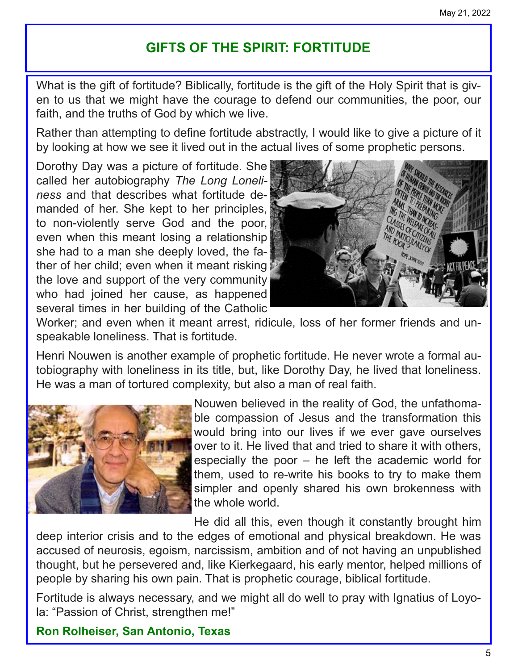### **GIFTS OF THE SPIRIT: FORTITUDE**

What is the gift of fortitude? Biblically, fortitude is the gift of the Holy Spirit that is given to us that we might have the courage to defend our communities, the poor, our faith, and the truths of God by which we live.

Rather than attempting to define fortitude abstractly, I would like to give a picture of it by looking at how we see it lived out in the actual lives of some prophetic persons.

Dorothy Day was a picture of fortitude. She called her autobiography *The Long Loneliness* and that describes what fortitude demanded of her. She kept to her principles, to non-violently serve God and the poor, even when this meant losing a relationship she had to a man she deeply loved, the father of her child; even when it meant risking the love and support of the very community who had joined her cause, as happened several times in her building of the Catholic



Worker; and even when it meant arrest, ridicule, loss of her former friends and unspeakable loneliness. That is fortitude.

Henri Nouwen is another example of prophetic fortitude. He never wrote a formal autobiography with loneliness in its title, but, like Dorothy Day, he lived that loneliness. He was a man of tortured complexity, but also a man of real faith.



Nouwen believed in the reality of God, the unfathomable compassion of Jesus and the transformation this would bring into our lives if we ever gave ourselves over to it. He lived that and tried to share it with others, especially the poor – he left the academic world for them, used to re-write his books to try to make them simpler and openly shared his own brokenness with the whole world.

He did all this, even though it constantly brought him

deep interior crisis and to the edges of emotional and physical breakdown. He was accused of neurosis, egoism, narcissism, ambition and of not having an unpublished thought, but he persevered and, like Kierkegaard, his early mentor, helped millions of people by sharing his own pain. That is prophetic courage, biblical fortitude.

Fortitude is always necessary, and we might all do well to pray with Ignatius of Loyola: "Passion of Christ, strengthen me!"

**Ron Rolheiser, San Antonio, Texas**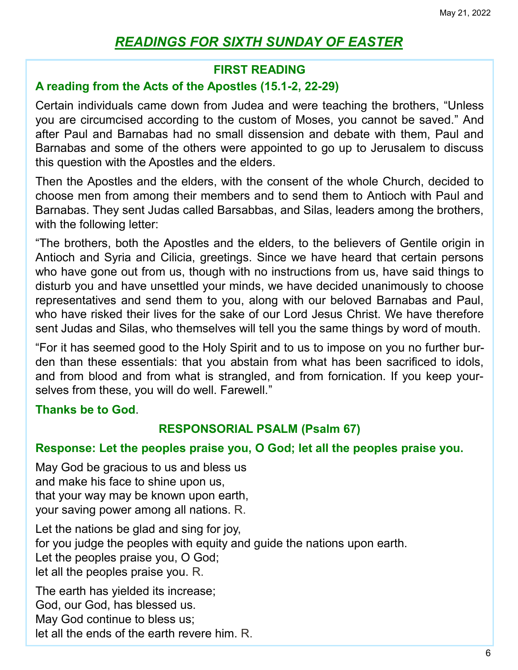## *READINGS FOR SIXTH SUNDAY OF EASTER*

#### **FIRST READING**

#### **A reading from the Acts of the Apostles (15.1-2, 22-29)**

Certain individuals came down from Judea and were teaching the brothers, "Unless you are circumcised according to the custom of Moses, you cannot be saved." And after Paul and Barnabas had no small dissension and debate with them, Paul and Barnabas and some of the others were appointed to go up to Jerusalem to discuss this question with the Apostles and the elders.

Then the Apostles and the elders, with the consent of the whole Church, decided to choose men from among their members and to send them to Antioch with Paul and Barnabas. They sent Judas called Barsabbas, and Silas, leaders among the brothers, with the following letter:

"The brothers, both the Apostles and the elders, to the believers of Gentile origin in Antioch and Syria and Cilicia, greetings. Since we have heard that certain persons who have gone out from us, though with no instructions from us, have said things to disturb you and have unsettled your minds, we have decided unanimously to choose representatives and send them to you, along with our beloved Barnabas and Paul, who have risked their lives for the sake of our Lord Jesus Christ. We have therefore sent Judas and Silas, who themselves will tell you the same things by word of mouth.

"For it has seemed good to the Holy Spirit and to us to impose on you no further burden than these essentials: that you abstain from what has been sacrificed to idols, and from blood and from what is strangled, and from fornication. If you keep yourselves from these, you will do well. Farewell."

**Thanks be to God**.

#### **RESPONSORIAL PSALM (Psalm 67)**

#### **Response: Let the peoples praise you, O God; let all the peoples praise you.**

May God be gracious to us and bless us and make his face to shine upon us, that your way may be known upon earth, your saving power among all nations. R.

Let the nations be glad and sing for joy, for you judge the peoples with equity and guide the nations upon earth. Let the peoples praise you, O God; let all the peoples praise you. R.

The earth has yielded its increase; God, our God, has blessed us. May God continue to bless us; let all the ends of the earth revere him. R.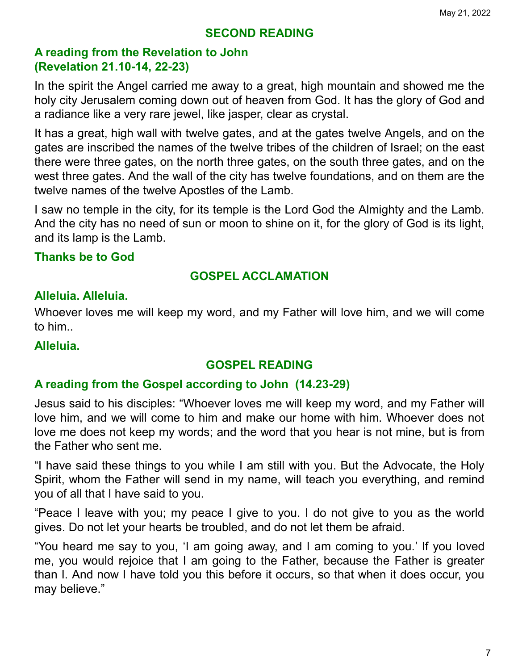#### **SECOND READING**

#### **A reading from the Revelation to John (Revelation 21.10-14, 22-23)**

In the spirit the Angel carried me away to a great, high mountain and showed me the holy city Jerusalem coming down out of heaven from God. It has the glory of God and a radiance like a very rare jewel, like jasper, clear as crystal.

It has a great, high wall with twelve gates, and at the gates twelve Angels, and on the gates are inscribed the names of the twelve tribes of the children of Israel; on the east there were three gates, on the north three gates, on the south three gates, and on the west three gates. And the wall of the city has twelve foundations, and on them are the twelve names of the twelve Apostles of the Lamb.

I saw no temple in the city, for its temple is the Lord God the Almighty and the Lamb. And the city has no need of sun or moon to shine on it, for the glory of God is its light, and its lamp is the Lamb.

#### **Thanks be to God**

#### **GOSPEL ACCLAMATION**

#### **Alleluia. Alleluia.**

Whoever loves me will keep my word, and my Father will love him, and we will come to him..

#### **Alleluia.**

#### **GOSPEL READING**

#### **A reading from the Gospel according to John (14.23-29)**

Jesus said to his disciples: "Whoever loves me will keep my word, and my Father will love him, and we will come to him and make our home with him. Whoever does not love me does not keep my words; and the word that you hear is not mine, but is from the Father who sent me.

"I have said these things to you while I am still with you. But the Advocate, the Holy Spirit, whom the Father will send in my name, will teach you everything, and remind you of all that I have said to you.

"Peace I leave with you; my peace I give to you. I do not give to you as the world gives. Do not let your hearts be troubled, and do not let them be afraid.

"You heard me say to you, 'I am going away, and I am coming to you.' If you loved me, you would rejoice that I am going to the Father, because the Father is greater than I. And now I have told you this before it occurs, so that when it does occur, you may believe."